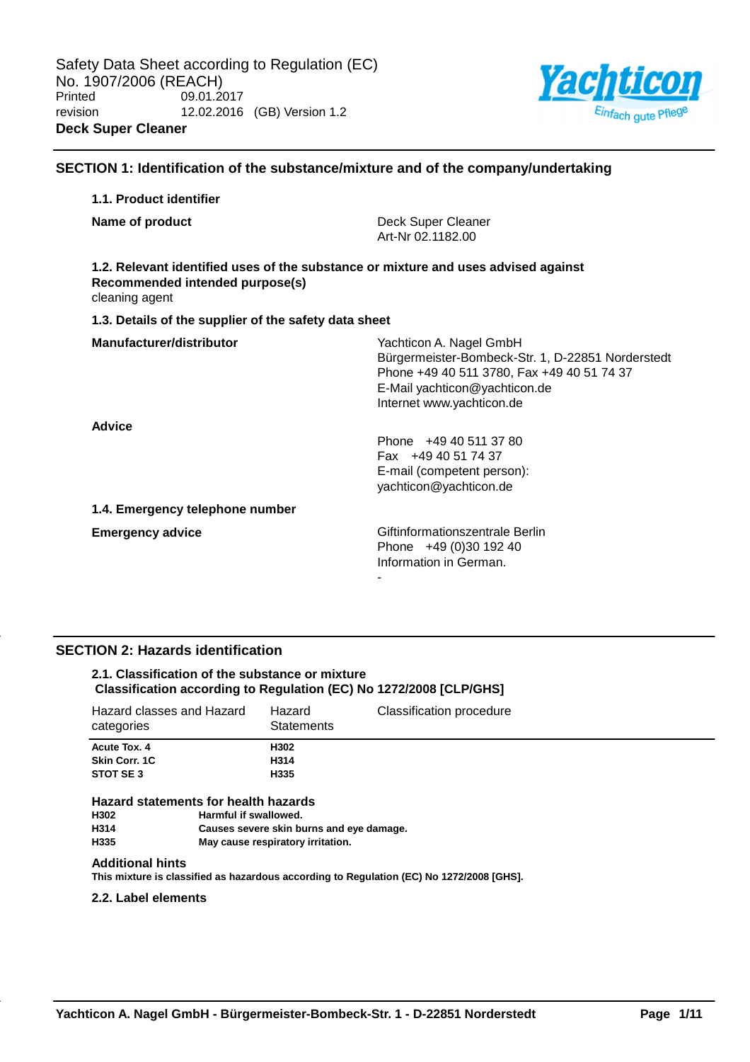

## **SECTION 1: Identification of the substance/mixture and of the company/undertaking**

## **1.1. Product identifier Name of product Deck Super Cleaner** Art-Nr 02.1182.00 **1.2. Relevant identified uses of the substance or mixture and uses advised against Recommended intended purpose(s)** cleaning agent **1.3. Details of the supplier of the safety data sheet Manufacturer/distributor** Wachticon A. Nagel GmbH Bürgermeister-Bombeck-Str. 1, D-22851 Norderstedt Phone +49 40 511 3780, Fax +49 40 51 74 37 E-Mail yachticon@yachticon.de Internet www.yachticon.de **Advice** Phone +49 40 511 37 80 Fax +49 40 51 74 37 E-mail (competent person): yachticon@yachticon.de **1.4. Emergency telephone number Emergency advice Emergency advice Emergency advice Giftinformationszentrale Berlin** Phone +49 (0)30 192 40 Information in German. -

## **SECTION 2: Hazards identification**

## **2.1. Classification of the substance or mixture Classification according to Regulation (EC) No 1272/2008 [CLP/GHS]**

| Hazard classes and Hazard<br>categories    | Hazard<br><b>Statements</b> | Classification procedure |
|--------------------------------------------|-----------------------------|--------------------------|
| Acute Tox, 4<br>Skin Corr. 1C<br>STOT SE 3 | H302<br>H314<br>H335        |                          |
|                                            |                             |                          |

# **Hazard statements for health hazards**

**Harmful if swallowed. H314 Causes severe skin burns and eye damage. H335 May cause respiratory irritation.**

#### **Additional hints**

**This mixture is classified as hazardous according to Regulation (EC) No 1272/2008 [GHS].**

#### **2.2. Label elements**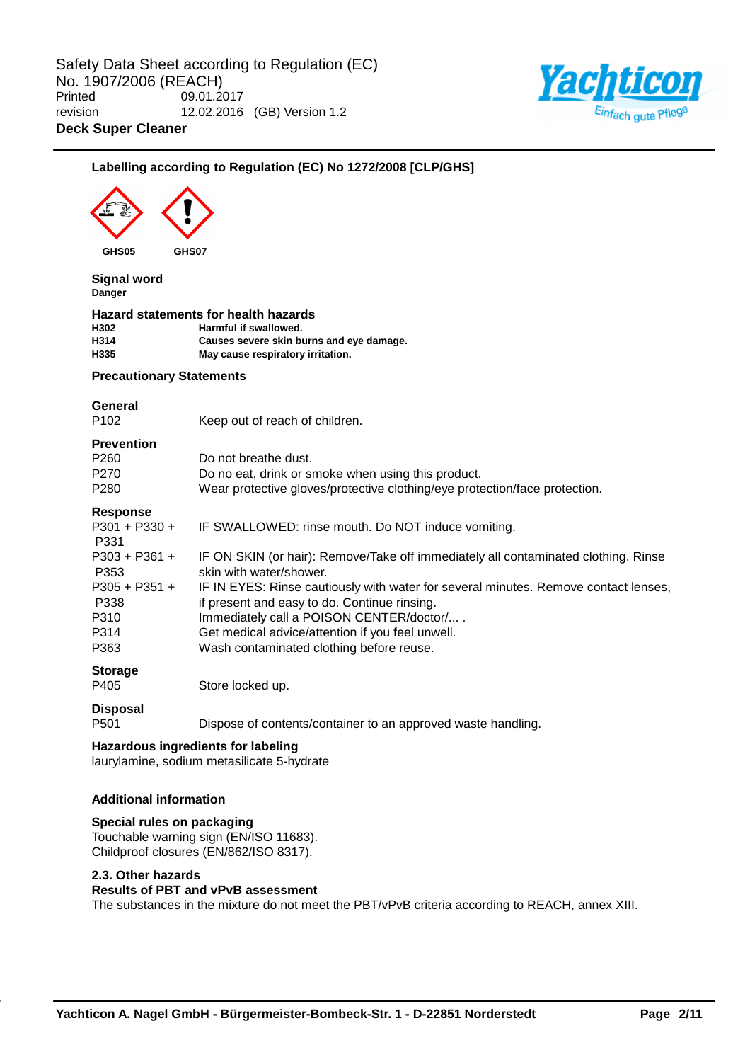

| GHS05                                                                    | GHS07                                                                                                                                                                                                                                                                                                                                                                                            |
|--------------------------------------------------------------------------|--------------------------------------------------------------------------------------------------------------------------------------------------------------------------------------------------------------------------------------------------------------------------------------------------------------------------------------------------------------------------------------------------|
| <b>Signal word</b><br>Danger                                             |                                                                                                                                                                                                                                                                                                                                                                                                  |
| H302<br>H314<br>H335                                                     | Hazard statements for health hazards<br>Harmful if swallowed.<br>Causes severe skin burns and eye damage.<br>May cause respiratory irritation.                                                                                                                                                                                                                                                   |
| <b>Precautionary Statements</b>                                          |                                                                                                                                                                                                                                                                                                                                                                                                  |
| General<br>P <sub>102</sub>                                              | Keep out of reach of children.                                                                                                                                                                                                                                                                                                                                                                   |
| <b>Prevention</b><br>P260<br>P270<br>P280                                | Do not breathe dust.<br>Do no eat, drink or smoke when using this product.<br>Wear protective gloves/protective clothing/eye protection/face protection.                                                                                                                                                                                                                                         |
| <b>Response</b><br>P301 + P330 +<br>P331                                 | IF SWALLOWED: rinse mouth. Do NOT induce vomiting.                                                                                                                                                                                                                                                                                                                                               |
| $P303 + P361 +$<br>P353<br>P305 + P351 +<br>P338<br>P310<br>P314<br>P363 | IF ON SKIN (or hair): Remove/Take off immediately all contaminated clothing. Rinse<br>skin with water/shower.<br>IF IN EYES: Rinse cautiously with water for several minutes. Remove contact lenses,<br>if present and easy to do. Continue rinsing.<br>Immediately call a POISON CENTER/doctor/<br>Get medical advice/attention if you feel unwell.<br>Wash contaminated clothing before reuse. |
| <b>Storage</b><br>P405                                                   | Store locked up.                                                                                                                                                                                                                                                                                                                                                                                 |
| <b>Disposal</b><br>P501                                                  | Dispose of contents/container to an approved waste handling.                                                                                                                                                                                                                                                                                                                                     |
|                                                                          | <b>Hazardous ingredients for labeling</b><br>laurylamine, sodium metasilicate 5-hydrate                                                                                                                                                                                                                                                                                                          |

Childproof closures (EN/862/ISO 8317).

## **2.3. Other hazards**

## **Results of PBT and vPvB assessment**

The substances in the mixture do not meet the PBT/vPvB criteria according to REACH, annex XIII.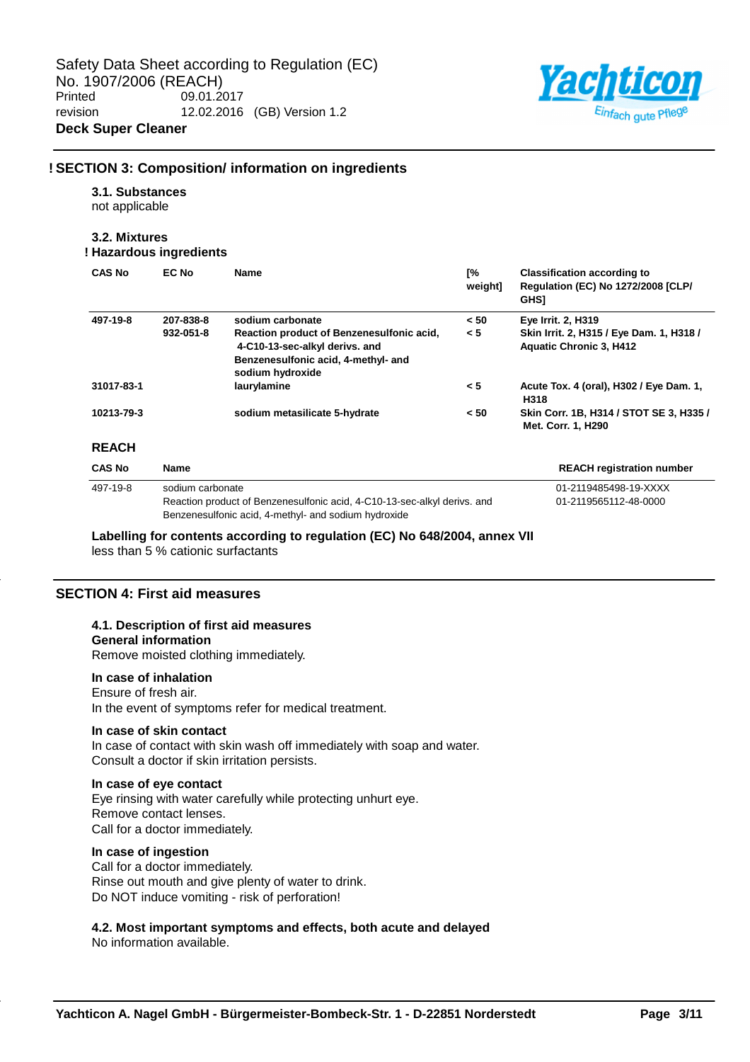

## **! SECTION 3: Composition/ information on ingredients**

#### **3.1. Substances**

not applicable

## **3.2. Mixtures**

## **! Hazardous ingredients**

| <b>CAS No</b> | EC No            | Name                                                                                                                                   | [%<br>weight] | <b>Classification according to</b><br><b>Regulation (EC) No 1272/2008 [CLP/</b><br><b>GHSI</b> |
|---------------|------------------|----------------------------------------------------------------------------------------------------------------------------------------|---------------|------------------------------------------------------------------------------------------------|
| 497-19-8      | 207-838-8        | sodium carbonate                                                                                                                       | < 50          | Eye Irrit. 2, H319                                                                             |
|               | 932-051-8        | Reaction product of Benzenesulfonic acid,<br>4-C10-13-sec-alkyl derivs. and<br>Benzenesulfonic acid, 4-methyl- and<br>sodium hydroxide | < 5           | Skin Irrit. 2, H315 / Eye Dam. 1, H318 /<br><b>Aquatic Chronic 3, H412</b>                     |
| 31017-83-1    |                  | laurylamine                                                                                                                            | < 5           | Acute Tox. 4 (oral), H302 / Eye Dam. 1,<br>H318                                                |
| 10213-79-3    |                  | sodium metasilicate 5-hydrate                                                                                                          | < 50          | Skin Corr. 1B, H314 / STOT SE 3, H335 /<br>Met. Corr. 1, H290                                  |
| <b>REACH</b>  |                  |                                                                                                                                        |               |                                                                                                |
| <b>CAS No</b> | <b>Name</b>      |                                                                                                                                        |               | <b>REACH registration number</b>                                                               |
| 497-19-8      | sodium carbonate |                                                                                                                                        |               | 01-2119485498-19-XXXX                                                                          |
|               |                  | Reaction product of Benzenesulfonic acid, 4-C10-13-sec-alkyl derivs. and<br>Benzenesulfonic acid, 4-methyl- and sodium hydroxide       |               | 01-2119565112-48-0000                                                                          |

**Labelling for contents according to regulation (EC) No 648/2004, annex VII**

less than 5 % cationic surfactants

## **SECTION 4: First aid measures**

## **4.1. Description of first aid measures**

## **General information**

Remove moisted clothing immediately.

#### **In case of inhalation**

Ensure of fresh air. In the event of symptoms refer for medical treatment.

## **In case of skin contact**

In case of contact with skin wash off immediately with soap and water. Consult a doctor if skin irritation persists.

#### **In case of eye contact**

Eye rinsing with water carefully while protecting unhurt eye. Remove contact lenses. Call for a doctor immediately.

### **In case of ingestion**

Call for a doctor immediately. Rinse out mouth and give plenty of water to drink. Do NOT induce vomiting - risk of perforation!

## **4.2. Most important symptoms and effects, both acute and delayed**

No information available.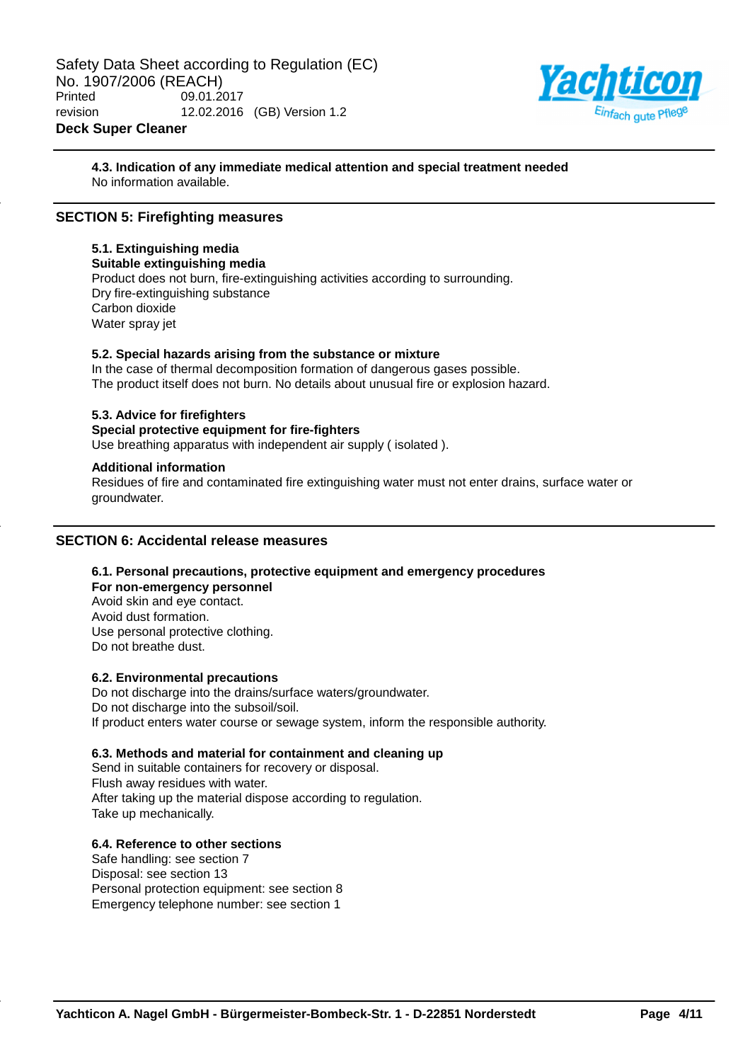

**4.3. Indication of any immediate medical attention and special treatment needed** No information available.

## **SECTION 5: Firefighting measures**

## **5.1. Extinguishing media**

**Suitable extinguishing media** Product does not burn, fire-extinguishing activities according to surrounding. Dry fire-extinguishing substance Carbon dioxide Water spray jet

#### **5.2. Special hazards arising from the substance or mixture**

In the case of thermal decomposition formation of dangerous gases possible. The product itself does not burn. No details about unusual fire or explosion hazard.

#### **5.3. Advice for firefighters**

#### **Special protective equipment for fire-fighters**

Use breathing apparatus with independent air supply ( isolated ).

#### **Additional information**

Residues of fire and contaminated fire extinguishing water must not enter drains, surface water or groundwater.

#### **SECTION 6: Accidental release measures**

## **6.1. Personal precautions, protective equipment and emergency procedures**

**For non-emergency personnel** Avoid skin and eye contact. Avoid dust formation. Use personal protective clothing. Do not breathe dust.

#### **6.2. Environmental precautions**

Do not discharge into the drains/surface waters/groundwater. Do not discharge into the subsoil/soil. If product enters water course or sewage system, inform the responsible authority.

## **6.3. Methods and material for containment and cleaning up**

Send in suitable containers for recovery or disposal. Flush away residues with water. After taking up the material dispose according to regulation. Take up mechanically.

## **6.4. Reference to other sections**

Safe handling: see section 7 Disposal: see section 13 Personal protection equipment: see section 8 Emergency telephone number: see section 1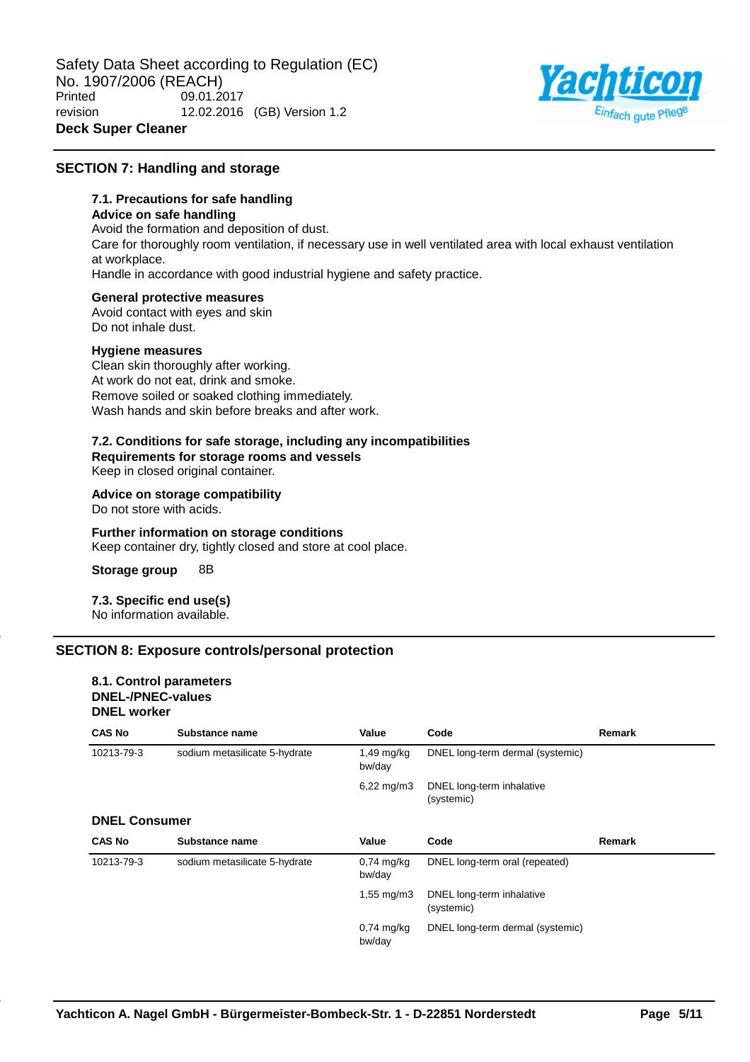

## **SECTION 7: Handling and storage**

## **7.1. Precautions for safe handling**

## **Advice on safe handling**

Avoid the formation and deposition of dust. Care for thoroughly room ventilation, if necessary use in well ventilated area with local exhaust ventilation at workplace. Handle in accordance with good industrial hygiene and safety practice.

#### **General protective measures**

Avoid contact with eyes and skin Do not inhale dust.

#### **Hygiene measures**

Clean skin thoroughly after working. At work do not eat, drink and smoke. Remove soiled or soaked clothing immediately. Wash hands and skin before breaks and after work.

#### **7.2. Conditions for safe storage, including any incompatibilities Requirements for storage rooms and vessels**

Keep in closed original container.

**Advice on storage compatibility**

Do not store with acids.

#### **Further information on storage conditions** Keep container dry, tightly closed and store at cool place.

**Storage group** 8B

**7.3. Specific end use(s)** No information available.

## **SECTION 8: Exposure controls/personal protection**

#### **8.1. Control parameters DNEL-/PNEC-values DNEL worker**

| <b>CAS No</b>        | Substance name                | Value                   | Code                                    | Remark |
|----------------------|-------------------------------|-------------------------|-----------------------------------------|--------|
| 10213-79-3           | sodium metasilicate 5-hydrate | $1,49$ mg/kg<br>bw/day  | DNEL long-term dermal (systemic)        |        |
|                      |                               | $6,22 \,\mathrm{mq/m3}$ | DNEL long-term inhalative<br>(systemic) |        |
| <b>DNEL Consumer</b> |                               |                         |                                         |        |
| <b>CAS No</b>        | Substance name                | Value                   | Code                                    | Remark |
| 10213-79-3           | sodium metasilicate 5-hydrate | $0.74$ mg/kg<br>bw/day  | DNEL long-term oral (repeated)          |        |
|                      |                               | $1,55 \, \text{mg/m}$ 3 | DNEL long-term inhalative<br>(systemic) |        |
|                      |                               | $0.74$ mg/kg<br>bw/day  | DNEL long-term dermal (systemic)        |        |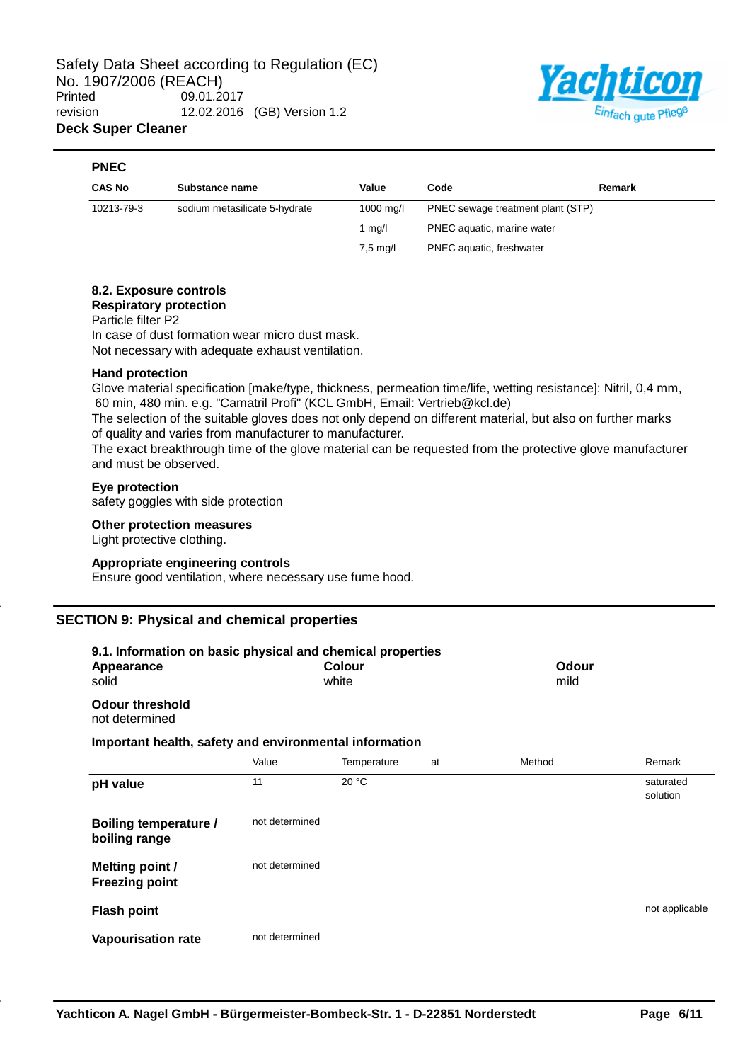

#### **PNEC**

| <b>CAS No</b> | Substance name                | Value                | Code                              | Remark |
|---------------|-------------------------------|----------------------|-----------------------------------|--------|
| 10213-79-3    | sodium metasilicate 5-hydrate | $1000 \text{ m}$ g/l | PNEC sewage treatment plant (STP) |        |
|               |                               | 1 ma/l               | PNEC aquatic, marine water        |        |
|               |                               | $7.5 \text{ mg/l}$   | PNEC aquatic, freshwater          |        |

## **8.2. Exposure controls**

**Respiratory protection**

Particle filter P2

In case of dust formation wear micro dust mask. Not necessary with adequate exhaust ventilation.

## **Hand protection**

Glove material specification [make/type, thickness, permeation time/life, wetting resistance]: Nitril, 0,4 mm, 60 min, 480 min. e.g. "Camatril Profi" (KCL GmbH, Email: Vertrieb@kcl.de)

The selection of the suitable gloves does not only depend on different material, but also on further marks of quality and varies from manufacturer to manufacturer.

The exact breakthrough time of the glove material can be requested from the protective glove manufacturer and must be observed.

#### **Eye protection**

safety goggles with side protection

#### **Other protection measures**

Light protective clothing.

#### **Appropriate engineering controls**

Ensure good ventilation, where necessary use fume hood.

## **SECTION 9: Physical and chemical properties**

| 9.1. Information on basic physical and chemical properties<br>Appearance<br>solid |                | Colour<br>white |    | Odour<br>mild |                       |
|-----------------------------------------------------------------------------------|----------------|-----------------|----|---------------|-----------------------|
| <b>Odour threshold</b><br>not determined                                          |                |                 |    |               |                       |
| Important health, safety and environmental information                            |                |                 |    |               |                       |
|                                                                                   | Value          | Temperature     | at | Method        | Remark                |
| pH value                                                                          | 11             | 20 °C           |    |               | saturated<br>solution |
| Boiling temperature /<br>boiling range                                            | not determined |                 |    |               |                       |
| <b>Melting point /</b><br><b>Freezing point</b>                                   | not determined |                 |    |               |                       |
| <b>Flash point</b>                                                                |                |                 |    |               | not applicable        |
| <b>Vapourisation rate</b>                                                         | not determined |                 |    |               |                       |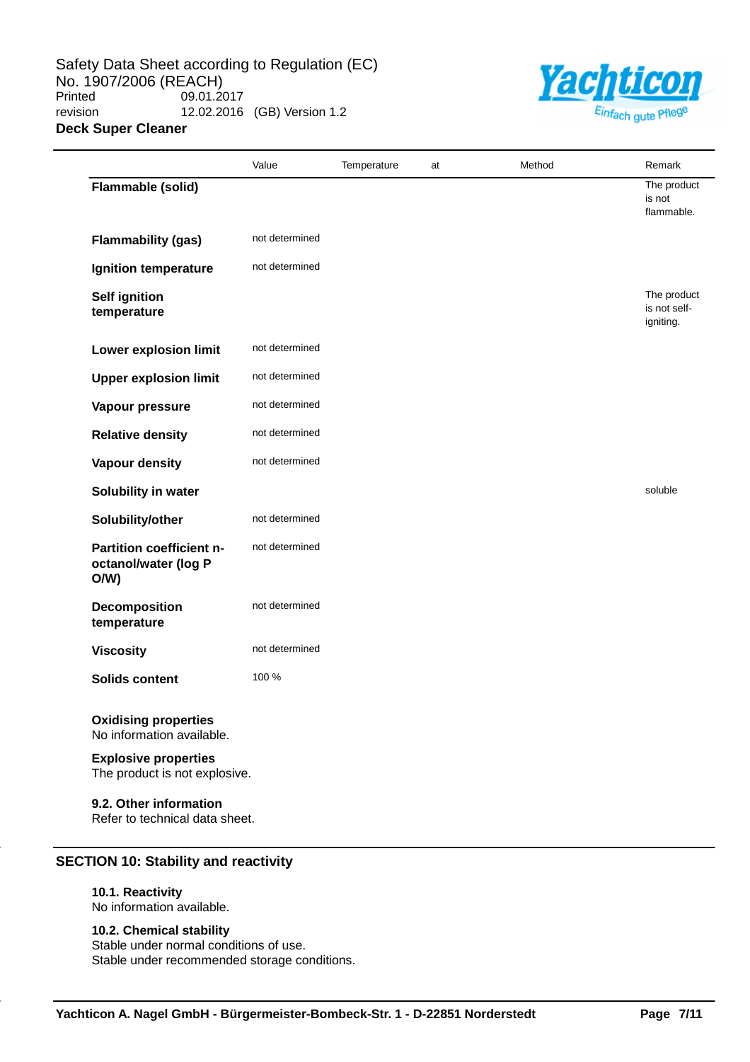Safety Data Sheet according to Regulation (EC) No. 1907/2006 (REACH)<br>Printed 09.01.2 09.01.2017 revision 12.02.2016 (GB) Version 1.2 **Deck Super Cleaner**



|                                                              | Value          | Temperature | at | Method | Remark                                   |
|--------------------------------------------------------------|----------------|-------------|----|--------|------------------------------------------|
| Flammable (solid)                                            |                |             |    |        | The product<br>is not<br>flammable.      |
| <b>Flammability (gas)</b>                                    | not determined |             |    |        |                                          |
| Ignition temperature                                         | not determined |             |    |        |                                          |
| <b>Self ignition</b><br>temperature                          |                |             |    |        | The product<br>is not self-<br>igniting. |
| <b>Lower explosion limit</b>                                 | not determined |             |    |        |                                          |
| <b>Upper explosion limit</b>                                 | not determined |             |    |        |                                          |
| Vapour pressure                                              | not determined |             |    |        |                                          |
| <b>Relative density</b>                                      | not determined |             |    |        |                                          |
| <b>Vapour density</b>                                        | not determined |             |    |        |                                          |
| Solubility in water                                          |                |             |    |        | soluble                                  |
| Solubility/other                                             | not determined |             |    |        |                                          |
| Partition coefficient n-<br>octanol/water (log P<br>O/W      | not determined |             |    |        |                                          |
| Decomposition<br>temperature                                 | not determined |             |    |        |                                          |
| <b>Viscosity</b>                                             | not determined |             |    |        |                                          |
| <b>Solids content</b>                                        | 100 %          |             |    |        |                                          |
| <b>Oxidising properties</b><br>No information available.     |                |             |    |        |                                          |
| <b>Explosive properties</b><br>The product is not explosive. |                |             |    |        |                                          |
| 9.2. Other information<br>Refer to technical data sheet.     |                |             |    |        |                                          |

## **SECTION 10: Stability and reactivity**

## **10.1. Reactivity**

No information available.

#### **10.2. Chemical stability**

Stable under normal conditions of use. Stable under recommended storage conditions.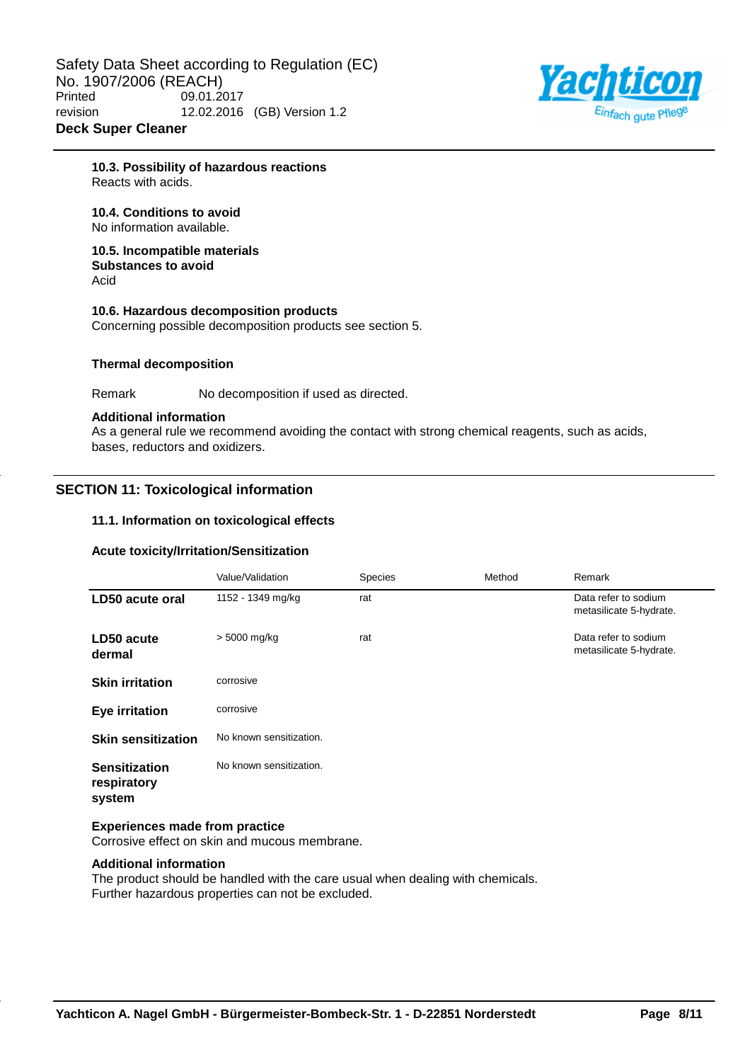

**10.3. Possibility of hazardous reactions** Reacts with acids.

## **10.4. Conditions to avoid**

No information available.

#### **10.5. Incompatible materials Substances to avoid** Acid

**10.6. Hazardous decomposition products** Concerning possible decomposition products see section 5.

#### **Thermal decomposition**

Remark No decomposition if used as directed.

#### **Additional information**

As a general rule we recommend avoiding the contact with strong chemical reagents, such as acids, bases, reductors and oxidizers.

## **SECTION 11: Toxicological information**

#### **11.1. Information on toxicological effects**

## **Acute toxicity/Irritation/Sensitization**

|                                               | Value/Validation        | Species | Method | Remark                                          |
|-----------------------------------------------|-------------------------|---------|--------|-------------------------------------------------|
| LD50 acute oral                               | 1152 - 1349 mg/kg       | rat     |        | Data refer to sodium<br>metasilicate 5-hydrate. |
| LD50 acute<br>dermal                          | $> 5000$ mg/kg          | rat     |        | Data refer to sodium<br>metasilicate 5-hydrate. |
| <b>Skin irritation</b>                        | corrosive               |         |        |                                                 |
| <b>Eye irritation</b>                         | corrosive               |         |        |                                                 |
| <b>Skin sensitization</b>                     | No known sensitization. |         |        |                                                 |
| <b>Sensitization</b><br>respiratory<br>system | No known sensitization. |         |        |                                                 |

#### **Experiences made from practice**

Corrosive effect on skin and mucous membrane.

## **Additional information**

The product should be handled with the care usual when dealing with chemicals. Further hazardous properties can not be excluded.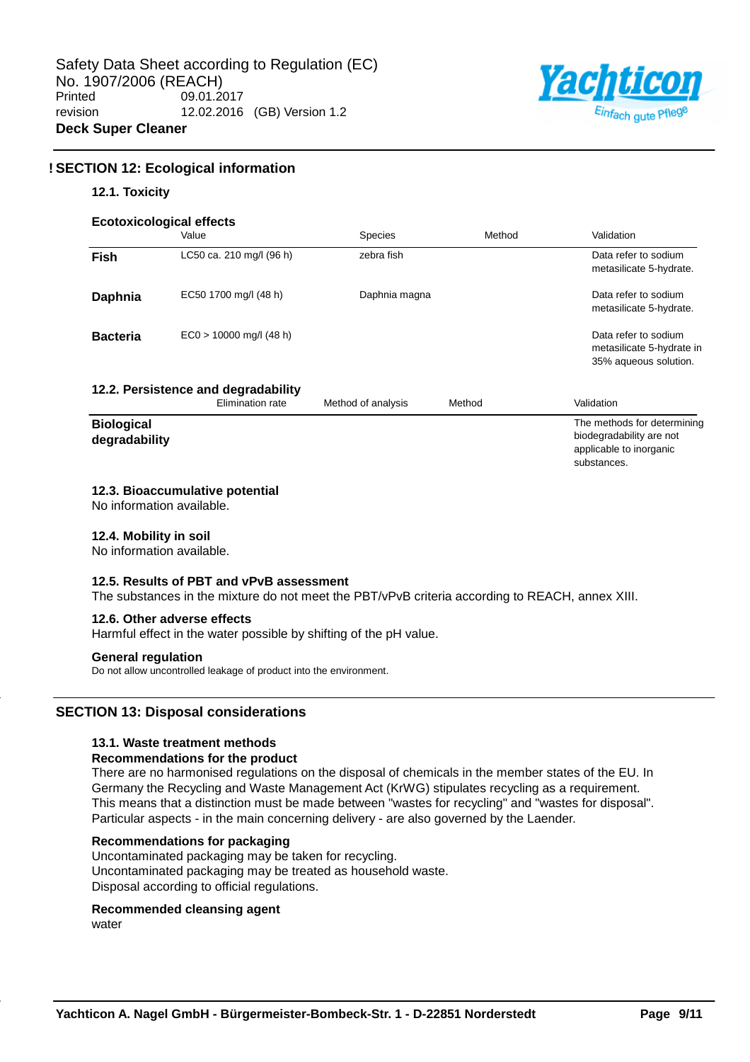

substances.

## **! SECTION 12: Ecological information**

#### **12.1. Toxicity**

|  | <b>Ecotoxicological effects</b> |
|--|---------------------------------|
|  |                                 |

|                                    | EUULUXIUUUUJIUAI BIIBULS<br>Value                       | <b>Species</b>     | Method | Validation                                                                         |
|------------------------------------|---------------------------------------------------------|--------------------|--------|------------------------------------------------------------------------------------|
| <b>Fish</b>                        | LC50 ca. 210 mg/l (96 h)                                | zebra fish         |        | Data refer to sodium<br>metasilicate 5-hydrate.                                    |
| Daphnia                            | EC50 1700 mg/l (48 h)                                   | Daphnia magna      |        | Data refer to sodium<br>metasilicate 5-hydrate.                                    |
| <b>Bacteria</b>                    | $EC0 > 10000$ mg/l (48 h)                               |                    |        | Data refer to sodium<br>metasilicate 5-hydrate in<br>35% aqueous solution.         |
|                                    | 12.2. Persistence and degradability<br>Elimination rate | Method of analysis | Method | Validation                                                                         |
| <b>Biological</b><br>degradability |                                                         |                    |        | The methods for determining<br>biodegradability are not<br>applicable to inorganic |

#### **12.3. Bioaccumulative potential**

No information available.

#### **12.4. Mobility in soil**

No information available.

#### **12.5. Results of PBT and vPvB assessment**

The substances in the mixture do not meet the PBT/vPvB criteria according to REACH, annex XIII.

#### **12.6. Other adverse effects**

Harmful effect in the water possible by shifting of the pH value.

#### **General regulation**

Do not allow uncontrolled leakage of product into the environment.

## **SECTION 13: Disposal considerations**

## **13.1. Waste treatment methods**

#### **Recommendations for the product**

There are no harmonised regulations on the disposal of chemicals in the member states of the EU. In Germany the Recycling and Waste Management Act (KrWG) stipulates recycling as a requirement. This means that a distinction must be made between "wastes for recycling" and "wastes for disposal". Particular aspects - in the main concerning delivery - are also governed by the Laender.

#### **Recommendations for packaging**

Uncontaminated packaging may be taken for recycling. Uncontaminated packaging may be treated as household waste. Disposal according to official regulations.

#### **Recommended cleansing agent**

water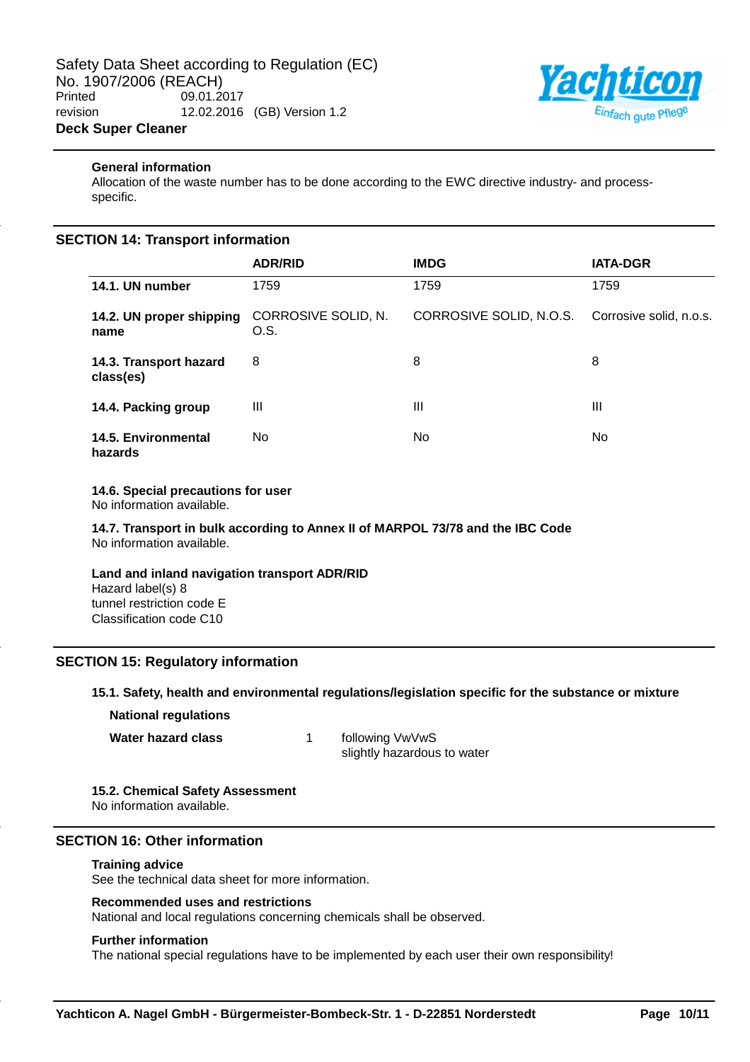

## **General information**

Allocation of the waste number has to be done according to the EWC directive industry- and processspecific.

## **SECTION 14: Transport information**

|                                       | <b>ADR/RID</b>              | <b>IMDG</b>             | <b>IATA-DGR</b>         |
|---------------------------------------|-----------------------------|-------------------------|-------------------------|
| 14.1. UN number                       | 1759                        | 1759                    | 1759                    |
| 14.2. UN proper shipping<br>name      | CORROSIVE SOLID, N.<br>O.S. | CORROSIVE SOLID, N.O.S. | Corrosive solid, n.o.s. |
| 14.3. Transport hazard<br>class(es)   | 8                           | 8                       | 8                       |
| 14.4. Packing group                   | Ш                           | Ш                       | Ш                       |
| <b>14.5. Environmental</b><br>hazards | No.                         | No.                     | No.                     |

## **14.6. Special precautions for user**

No information available.

**14.7. Transport in bulk according to Annex II of MARPOL 73/78 and the IBC Code** No information available.

## **Land and inland navigation transport ADR/RID**

Hazard label(s) 8 tunnel restriction code E Classification code C10

## **SECTION 15: Regulatory information**

#### **15.1. Safety, health and environmental regulations/legislation specific for the substance or mixture**

**National regulations**

**Water hazard class** 1 following VwVwS

slightly hazardous to water

## **15.2. Chemical Safety Assessment**

No information available.

## **SECTION 16: Other information**

#### **Training advice**

See the technical data sheet for more information.

#### **Recommended uses and restrictions**

National and local regulations concerning chemicals shall be observed.

#### **Further information**

The national special regulations have to be implemented by each user their own responsibility!